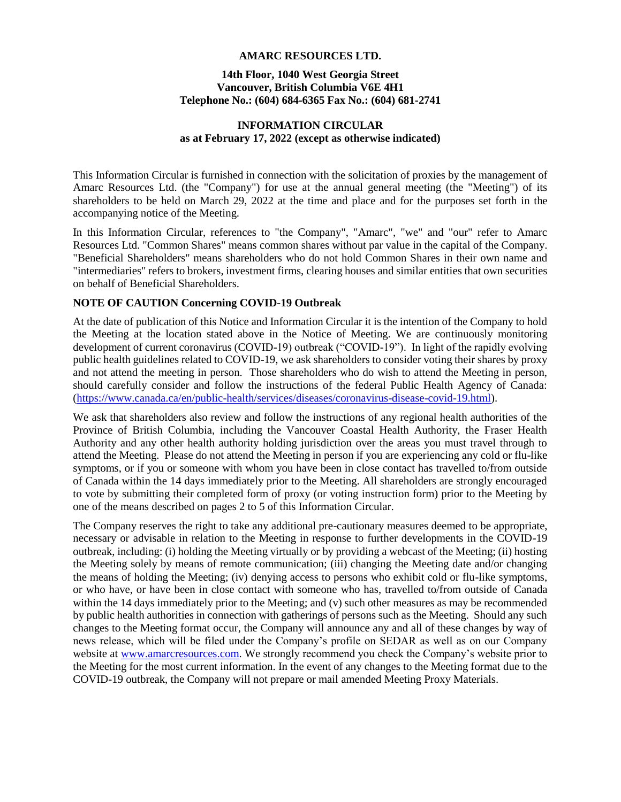### **AMARC RESOURCES LTD.**

### **14th Floor, 1040 West Georgia Street Vancouver, British Columbia V6E 4H1 Telephone No.: (604) 684-6365 Fax No.: (604) 681-2741**

### **INFORMATION CIRCULAR as at February 17, 2022 (except as otherwise indicated)**

This Information Circular is furnished in connection with the solicitation of proxies by the management of Amarc Resources Ltd. (the "Company") for use at the annual general meeting (the "Meeting") of its shareholders to be held on March 29, 2022 at the time and place and for the purposes set forth in the accompanying notice of the Meeting.

In this Information Circular, references to "the Company", "Amarc", "we" and "our" refer to Amarc Resources Ltd. "Common Shares" means common shares without par value in the capital of the Company. "Beneficial Shareholders" means shareholders who do not hold Common Shares in their own name and "intermediaries" refers to brokers, investment firms, clearing houses and similar entities that own securities on behalf of Beneficial Shareholders.

### **NOTE OF CAUTION Concerning COVID-19 Outbreak**

At the date of publication of this Notice and Information Circular it is the intention of the Company to hold the Meeting at the location stated above in the Notice of Meeting. We are continuously monitoring development of current coronavirus (COVID-19) outbreak ("COVID-19"). In light of the rapidly evolving public health guidelines related to COVID-19, we ask shareholders to consider voting their shares by proxy and not attend the meeting in person. Those shareholders who do wish to attend the Meeting in person, should carefully consider and follow the instructions of the federal Public Health Agency of Canada: [\(https://www.canada.ca/en/public-health/services/diseases/coronavirus-disease-covid-19.html\)](https://www.canada.ca/en/public-health/services/diseases/coronavirus-disease-covid-19.html).

We ask that shareholders also review and follow the instructions of any regional health authorities of the Province of British Columbia, including the Vancouver Coastal Health Authority, the Fraser Health Authority and any other health authority holding jurisdiction over the areas you must travel through to attend the Meeting. Please do not attend the Meeting in person if you are experiencing any cold or flu-like symptoms, or if you or someone with whom you have been in close contact has travelled to/from outside of Canada within the 14 days immediately prior to the Meeting. All shareholders are strongly encouraged to vote by submitting their completed form of proxy (or voting instruction form) prior to the Meeting by one of the means described on pages 2 to 5 of this Information Circular.

The Company reserves the right to take any additional pre-cautionary measures deemed to be appropriate, necessary or advisable in relation to the Meeting in response to further developments in the COVID-19 outbreak, including: (i) holding the Meeting virtually or by providing a webcast of the Meeting; (ii) hosting the Meeting solely by means of remote communication; (iii) changing the Meeting date and/or changing the means of holding the Meeting; (iv) denying access to persons who exhibit cold or flu-like symptoms, or who have, or have been in close contact with someone who has, travelled to/from outside of Canada within the 14 days immediately prior to the Meeting; and (v) such other measures as may be recommended by public health authorities in connection with gatherings of persons such as the Meeting. Should any such changes to the Meeting format occur, the Company will announce any and all of these changes by way of news release, which will be filed under the Company's profile on SEDAR as well as on our Company website at [www.amarcresources.com.](http://www.amarcresources.com/) We strongly recommend you check the Company's website prior to the Meeting for the most current information. In the event of any changes to the Meeting format due to the COVID-19 outbreak, the Company will not prepare or mail amended Meeting Proxy Materials.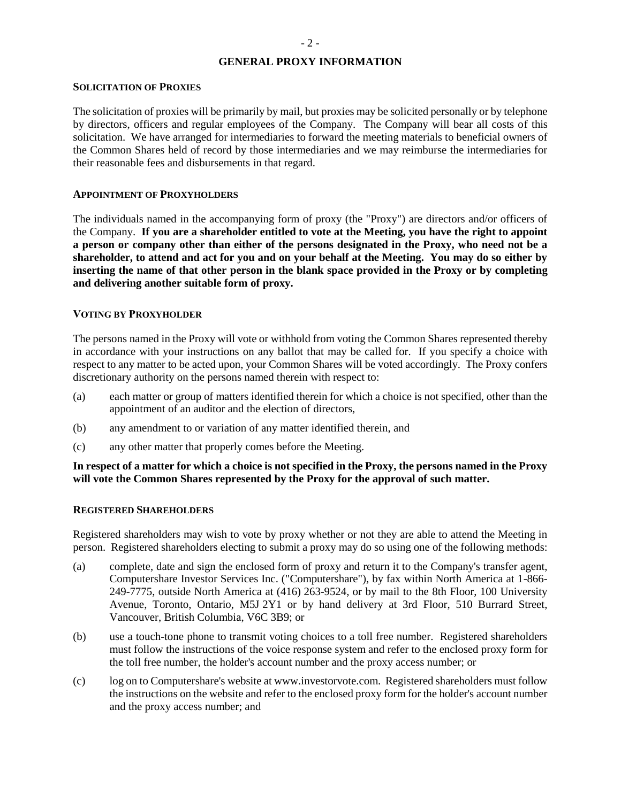# **GENERAL PROXY INFORMATION**

### **SOLICITATION OF PROXIES**

The solicitation of proxies will be primarily by mail, but proxies may be solicited personally or by telephone by directors, officers and regular employees of the Company. The Company will bear all costs of this solicitation. We have arranged for intermediaries to forward the meeting materials to beneficial owners of the Common Shares held of record by those intermediaries and we may reimburse the intermediaries for their reasonable fees and disbursements in that regard.

### **APPOINTMENT OF PROXYHOLDERS**

The individuals named in the accompanying form of proxy (the "Proxy") are directors and/or officers of the Company. **If you are a shareholder entitled to vote at the Meeting, you have the right to appoint a person or company other than either of the persons designated in the Proxy, who need not be a shareholder, to attend and act for you and on your behalf at the Meeting. You may do so either by inserting the name of that other person in the blank space provided in the Proxy or by completing and delivering another suitable form of proxy.**

### **VOTING BY PROXYHOLDER**

The persons named in the Proxy will vote or withhold from voting the Common Shares represented thereby in accordance with your instructions on any ballot that may be called for. If you specify a choice with respect to any matter to be acted upon, your Common Shares will be voted accordingly. The Proxy confers discretionary authority on the persons named therein with respect to:

- (a) each matter or group of matters identified therein for which a choice is not specified, other than the appointment of an auditor and the election of directors,
- (b) any amendment to or variation of any matter identified therein, and
- (c) any other matter that properly comes before the Meeting.

### **In respect of a matter for which a choice is not specified in the Proxy, the persons named in the Proxy will vote the Common Shares represented by the Proxy for the approval of such matter.**

#### **REGISTERED SHAREHOLDERS**

Registered shareholders may wish to vote by proxy whether or not they are able to attend the Meeting in person. Registered shareholders electing to submit a proxy may do so using one of the following methods:

- (a) complete, date and sign the enclosed form of proxy and return it to the Company's transfer agent, Computershare Investor Services Inc. ("Computershare"), by fax within North America at 1-866- 249-7775, outside North America at (416) 263-9524, or by mail to the 8th Floor, 100 University Avenue, Toronto, Ontario, M5J 2Y1 or by hand delivery at 3rd Floor, 510 Burrard Street, Vancouver, British Columbia, V6C 3B9; or
- (b) use a touch-tone phone to transmit voting choices to a toll free number. Registered shareholders must follow the instructions of the voice response system and refer to the enclosed proxy form for the toll free number, the holder's account number and the proxy access number; or
- (c) log on to Computershare's website at www.investorvote.com. Registered shareholders must follow the instructions on the website and refer to the enclosed proxy form for the holder's account number and the proxy access number; and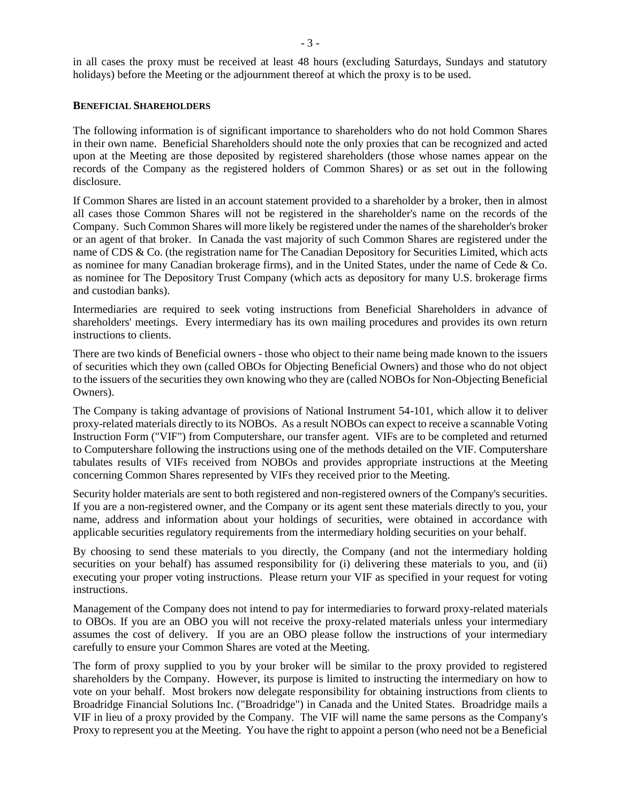in all cases the proxy must be received at least 48 hours (excluding Saturdays, Sundays and statutory holidays) before the Meeting or the adjournment thereof at which the proxy is to be used.

### **BENEFICIAL SHAREHOLDERS**

The following information is of significant importance to shareholders who do not hold Common Shares in their own name. Beneficial Shareholders should note the only proxies that can be recognized and acted upon at the Meeting are those deposited by registered shareholders (those whose names appear on the records of the Company as the registered holders of Common Shares) or as set out in the following disclosure.

If Common Shares are listed in an account statement provided to a shareholder by a broker, then in almost all cases those Common Shares will not be registered in the shareholder's name on the records of the Company. Such Common Shares will more likely be registered under the names of the shareholder's broker or an agent of that broker. In Canada the vast majority of such Common Shares are registered under the name of CDS & Co. (the registration name for The Canadian Depository for Securities Limited, which acts as nominee for many Canadian brokerage firms), and in the United States, under the name of Cede & Co. as nominee for The Depository Trust Company (which acts as depository for many U.S. brokerage firms and custodian banks).

Intermediaries are required to seek voting instructions from Beneficial Shareholders in advance of shareholders' meetings. Every intermediary has its own mailing procedures and provides its own return instructions to clients.

There are two kinds of Beneficial owners - those who object to their name being made known to the issuers of securities which they own (called OBOs for Objecting Beneficial Owners) and those who do not object to the issuers of the securities they own knowing who they are (called NOBOs for Non-Objecting Beneficial Owners).

The Company is taking advantage of provisions of National Instrument 54-101, which allow it to deliver proxy-related materials directly to its NOBOs. As a result NOBOs can expect to receive a scannable Voting Instruction Form ("VIF") from Computershare, our transfer agent. VIFs are to be completed and returned to Computershare following the instructions using one of the methods detailed on the VIF. Computershare tabulates results of VIFs received from NOBOs and provides appropriate instructions at the Meeting concerning Common Shares represented by VIFs they received prior to the Meeting.

Security holder materials are sent to both registered and non-registered owners of the Company's securities. If you are a non-registered owner, and the Company or its agent sent these materials directly to you, your name, address and information about your holdings of securities, were obtained in accordance with applicable securities regulatory requirements from the intermediary holding securities on your behalf.

By choosing to send these materials to you directly, the Company (and not the intermediary holding securities on your behalf) has assumed responsibility for (i) delivering these materials to you, and (ii) executing your proper voting instructions. Please return your VIF as specified in your request for voting instructions.

Management of the Company does not intend to pay for intermediaries to forward proxy-related materials to OBOs. If you are an OBO you will not receive the proxy-related materials unless your intermediary assumes the cost of delivery. If you are an OBO please follow the instructions of your intermediary carefully to ensure your Common Shares are voted at the Meeting.

The form of proxy supplied to you by your broker will be similar to the proxy provided to registered shareholders by the Company. However, its purpose is limited to instructing the intermediary on how to vote on your behalf. Most brokers now delegate responsibility for obtaining instructions from clients to Broadridge Financial Solutions Inc. ("Broadridge") in Canada and the United States. Broadridge mails a VIF in lieu of a proxy provided by the Company. The VIF will name the same persons as the Company's Proxy to represent you at the Meeting. You have the right to appoint a person (who need not be a Beneficial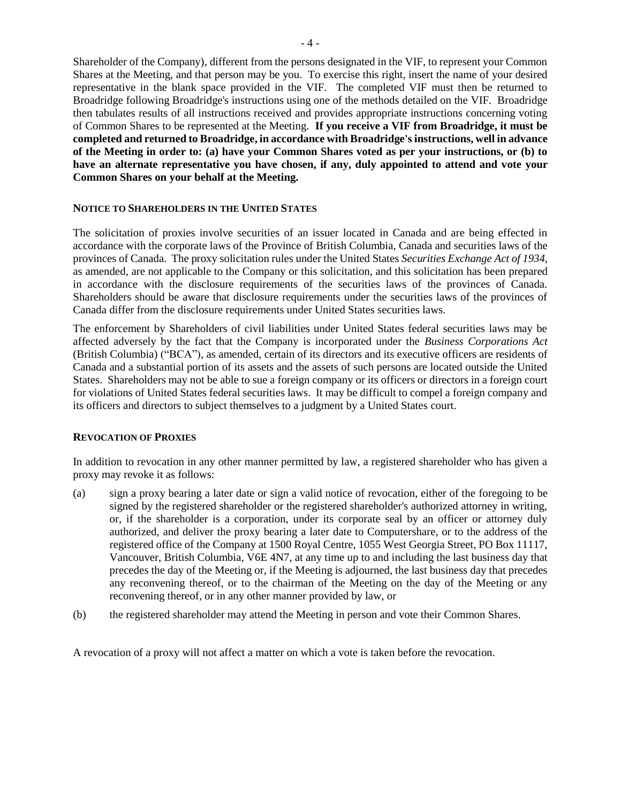Shareholder of the Company), different from the persons designated in the VIF, to represent your Common Shares at the Meeting, and that person may be you. To exercise this right, insert the name of your desired representative in the blank space provided in the VIF. The completed VIF must then be returned to Broadridge following Broadridge's instructions using one of the methods detailed on the VIF. Broadridge then tabulates results of all instructions received and provides appropriate instructions concerning voting of Common Shares to be represented at the Meeting. **If you receive a VIF from Broadridge, it must be completed and returned to Broadridge, in accordance with Broadridge's instructions, well in advance of the Meeting in order to: (a) have your Common Shares voted as per your instructions, or (b) to have an alternate representative you have chosen, if any, duly appointed to attend and vote your Common Shares on your behalf at the Meeting.**

#### **NOTICE TO SHAREHOLDERS IN THE UNITED STATES**

The solicitation of proxies involve securities of an issuer located in Canada and are being effected in accordance with the corporate laws of the Province of British Columbia, Canada and securities laws of the provinces of Canada. The proxy solicitation rules under the United States *Securities Exchange Act of 1934*, as amended, are not applicable to the Company or this solicitation, and this solicitation has been prepared in accordance with the disclosure requirements of the securities laws of the provinces of Canada. Shareholders should be aware that disclosure requirements under the securities laws of the provinces of Canada differ from the disclosure requirements under United States securities laws.

The enforcement by Shareholders of civil liabilities under United States federal securities laws may be affected adversely by the fact that the Company is incorporated under the *Business Corporations Act* (British Columbia) ("BCA"), as amended, certain of its directors and its executive officers are residents of Canada and a substantial portion of its assets and the assets of such persons are located outside the United States. Shareholders may not be able to sue a foreign company or its officers or directors in a foreign court for violations of United States federal securities laws. It may be difficult to compel a foreign company and its officers and directors to subject themselves to a judgment by a United States court.

#### **REVOCATION OF PROXIES**

In addition to revocation in any other manner permitted by law, a registered shareholder who has given a proxy may revoke it as follows:

- (a) sign a proxy bearing a later date or sign a valid notice of revocation, either of the foregoing to be signed by the registered shareholder or the registered shareholder's authorized attorney in writing, or, if the shareholder is a corporation, under its corporate seal by an officer or attorney duly authorized, and deliver the proxy bearing a later date to Computershare, or to the address of the registered office of the Company at 1500 Royal Centre, 1055 West Georgia Street, PO Box 11117, Vancouver, British Columbia, V6E 4N7, at any time up to and including the last business day that precedes the day of the Meeting or, if the Meeting is adjourned, the last business day that precedes any reconvening thereof, or to the chairman of the Meeting on the day of the Meeting or any reconvening thereof, or in any other manner provided by law, or
- (b) the registered shareholder may attend the Meeting in person and vote their Common Shares.

A revocation of a proxy will not affect a matter on which a vote is taken before the revocation.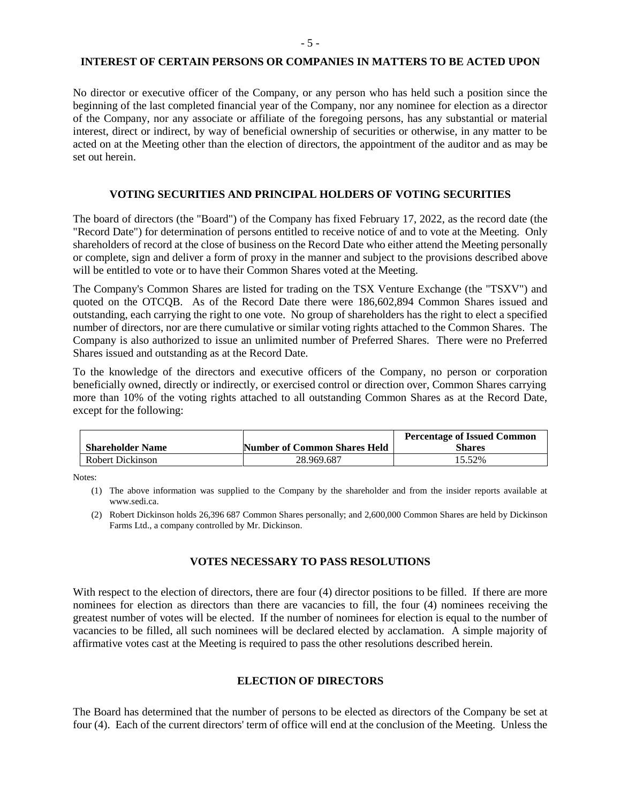#### **INTEREST OF CERTAIN PERSONS OR COMPANIES IN MATTERS TO BE ACTED UPON**

No director or executive officer of the Company, or any person who has held such a position since the beginning of the last completed financial year of the Company, nor any nominee for election as a director of the Company, nor any associate or affiliate of the foregoing persons, has any substantial or material interest, direct or indirect, by way of beneficial ownership of securities or otherwise, in any matter to be acted on at the Meeting other than the election of directors, the appointment of the auditor and as may be set out herein.

### **VOTING SECURITIES AND PRINCIPAL HOLDERS OF VOTING SECURITIES**

The board of directors (the "Board") of the Company has fixed February 17, 2022, as the record date (the "Record Date") for determination of persons entitled to receive notice of and to vote at the Meeting. Only shareholders of record at the close of business on the Record Date who either attend the Meeting personally or complete, sign and deliver a form of proxy in the manner and subject to the provisions described above will be entitled to vote or to have their Common Shares voted at the Meeting.

The Company's Common Shares are listed for trading on the TSX Venture Exchange (the "TSXV") and quoted on the OTCQB. As of the Record Date there were 186,602,894 Common Shares issued and outstanding, each carrying the right to one vote. No group of shareholders has the right to elect a specified number of directors, nor are there cumulative or similar voting rights attached to the Common Shares. The Company is also authorized to issue an unlimited number of Preferred Shares. There were no Preferred Shares issued and outstanding as at the Record Date.

To the knowledge of the directors and executive officers of the Company, no person or corporation beneficially owned, directly or indirectly, or exercised control or direction over, Common Shares carrying more than 10% of the voting rights attached to all outstanding Common Shares as at the Record Date, except for the following:

|                         |                              | <b>Percentage of Issued Common</b> |
|-------------------------|------------------------------|------------------------------------|
| <b>Shareholder Name</b> | Number of Common Shares Held | Shares                             |
| Robert Dickinson        | 28.969.687                   | 15.52%                             |

Notes:

(1) The above information was supplied to the Company by the shareholder and from the insider reports available at [www.sedi.ca.](http://www.sedi.ca/)

(2) Robert Dickinson holds 26,396 687 Common Shares personally; and 2,600,000 Common Shares are held by Dickinson Farms Ltd., a company controlled by Mr. Dickinson.

#### **VOTES NECESSARY TO PASS RESOLUTIONS**

With respect to the election of directors, there are four (4) director positions to be filled. If there are more nominees for election as directors than there are vacancies to fill, the four (4) nominees receiving the greatest number of votes will be elected. If the number of nominees for election is equal to the number of vacancies to be filled, all such nominees will be declared elected by acclamation. A simple majority of affirmative votes cast at the Meeting is required to pass the other resolutions described herein.

### **ELECTION OF DIRECTORS**

The Board has determined that the number of persons to be elected as directors of the Company be set at four (4). Each of the current directors' term of office will end at the conclusion of the Meeting. Unless the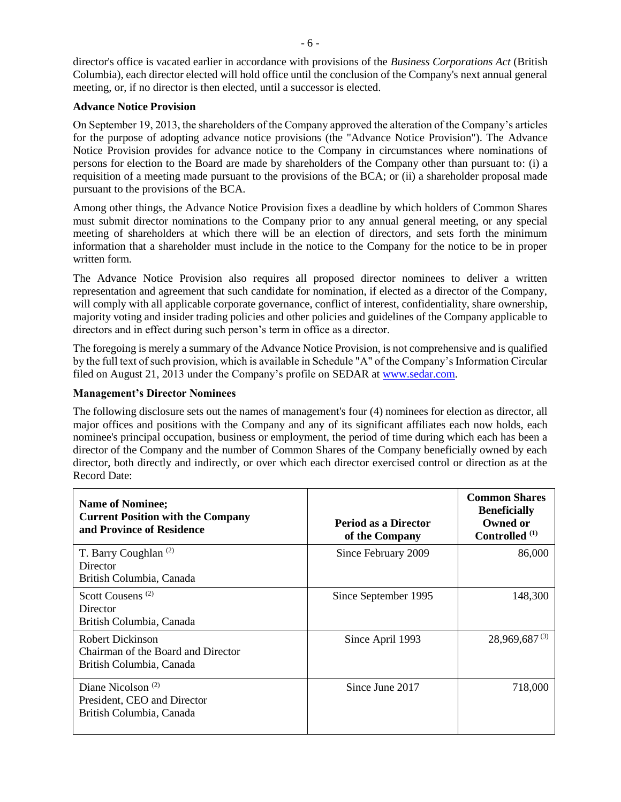director's office is vacated earlier in accordance with provisions of the *Business Corporations Act* (British Columbia), each director elected will hold office until the conclusion of the Company's next annual general meeting, or, if no director is then elected, until a successor is elected.

### **Advance Notice Provision**

On September 19, 2013, the shareholders of the Company approved the alteration of the Company's articles for the purpose of adopting advance notice provisions (the "Advance Notice Provision"). The Advance Notice Provision provides for advance notice to the Company in circumstances where nominations of persons for election to the Board are made by shareholders of the Company other than pursuant to: (i) a requisition of a meeting made pursuant to the provisions of the BCA; or (ii) a shareholder proposal made pursuant to the provisions of the BCA.

Among other things, the Advance Notice Provision fixes a deadline by which holders of Common Shares must submit director nominations to the Company prior to any annual general meeting, or any special meeting of shareholders at which there will be an election of directors, and sets forth the minimum information that a shareholder must include in the notice to the Company for the notice to be in proper written form.

The Advance Notice Provision also requires all proposed director nominees to deliver a written representation and agreement that such candidate for nomination, if elected as a director of the Company, will comply with all applicable corporate governance, conflict of interest, confidentiality, share ownership, majority voting and insider trading policies and other policies and guidelines of the Company applicable to directors and in effect during such person's term in office as a director.

The foregoing is merely a summary of the Advance Notice Provision, is not comprehensive and is qualified by the full text of such provision, which is available in Schedule "A" of the Company's Information Circular filed on August 21, 2013 under the Company's profile on SEDAR at [www.sedar.com.](http://www.sedar.com/)

### **Management's Director Nominees**

The following disclosure sets out the names of management's four (4) nominees for election as director, all major offices and positions with the Company and any of its significant affiliates each now holds, each nominee's principal occupation, business or employment, the period of time during which each has been a director of the Company and the number of Common Shares of the Company beneficially owned by each director, both directly and indirectly, or over which each director exercised control or direction as at the Record Date:

| <b>Name of Nominee;</b><br><b>Current Position with the Company</b><br>and Province of Residence | <b>Period as a Director</b><br>of the Company | <b>Common Shares</b><br><b>Beneficially</b><br>Owned or<br>Controlled <sup>(1)</sup> |
|--------------------------------------------------------------------------------------------------|-----------------------------------------------|--------------------------------------------------------------------------------------|
| T. Barry Coughlan <sup>(2)</sup><br>Director<br>British Columbia, Canada                         | Since February 2009                           | 86,000                                                                               |
| Scott Cousens <sup>(2)</sup><br>Director<br>British Columbia, Canada                             | Since September 1995                          | 148,300                                                                              |
| Robert Dickinson<br>Chairman of the Board and Director<br>British Columbia, Canada               | Since April 1993                              | $28,969,687^{(3)}$                                                                   |
| Diane Nicolson $(2)$<br>President, CEO and Director<br>British Columbia, Canada                  | Since June 2017                               | 718,000                                                                              |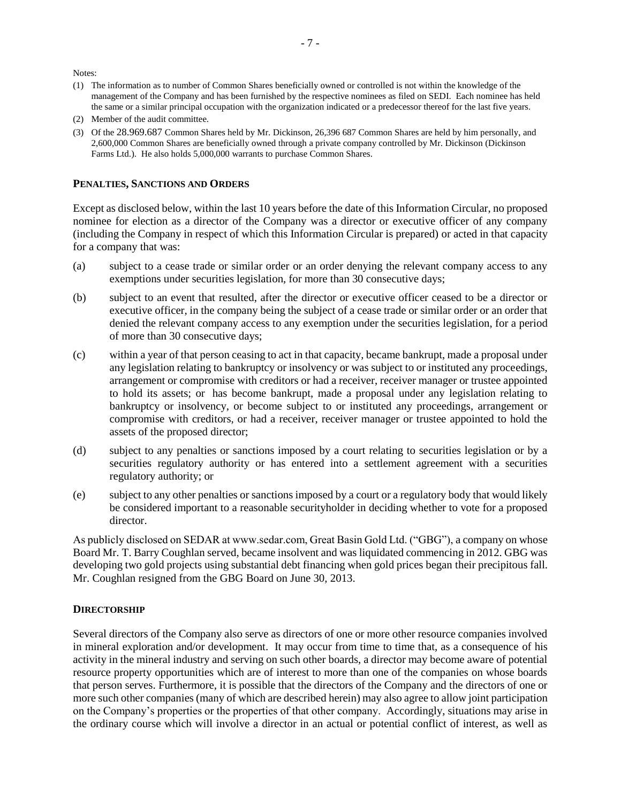Notes:

- (1) The information as to number of Common Shares beneficially owned or controlled is not within the knowledge of the management of the Company and has been furnished by the respective nominees as filed on SEDI. Each nominee has held the same or a similar principal occupation with the organization indicated or a predecessor thereof for the last five years.
- (2) Member of the audit committee.
- (3) Of the 28.969.687 Common Shares held by Mr. Dickinson, 26,396 687 Common Shares are held by him personally, and 2,600,000 Common Shares are beneficially owned through a private company controlled by Mr. Dickinson (Dickinson Farms Ltd.). He also holds 5,000,000 warrants to purchase Common Shares.

#### **PENALTIES, SANCTIONS AND ORDERS**

Except as disclosed below, within the last 10 years before the date of this Information Circular, no proposed nominee for election as a director of the Company was a director or executive officer of any company (including the Company in respect of which this Information Circular is prepared) or acted in that capacity for a company that was:

- (a) subject to a cease trade or similar order or an order denying the relevant company access to any exemptions under securities legislation, for more than 30 consecutive days;
- (b) subject to an event that resulted, after the director or executive officer ceased to be a director or executive officer, in the company being the subject of a cease trade or similar order or an order that denied the relevant company access to any exemption under the securities legislation, for a period of more than 30 consecutive days;
- (c) within a year of that person ceasing to act in that capacity, became bankrupt, made a proposal under any legislation relating to bankruptcy or insolvency or was subject to or instituted any proceedings, arrangement or compromise with creditors or had a receiver, receiver manager or trustee appointed to hold its assets; or has become bankrupt, made a proposal under any legislation relating to bankruptcy or insolvency, or become subject to or instituted any proceedings, arrangement or compromise with creditors, or had a receiver, receiver manager or trustee appointed to hold the assets of the proposed director;
- (d) subject to any penalties or sanctions imposed by a court relating to securities legislation or by a securities regulatory authority or has entered into a settlement agreement with a securities regulatory authority; or
- (e) subject to any other penalties or sanctions imposed by a court or a regulatory body that would likely be considered important to a reasonable securityholder in deciding whether to vote for a proposed director.

As publicly disclosed on SEDAR at www.sedar.com, Great Basin Gold Ltd. ("GBG"), a company on whose Board Mr. T. Barry Coughlan served, became insolvent and was liquidated commencing in 2012. GBG was developing two gold projects using substantial debt financing when gold prices began their precipitous fall. Mr. Coughlan resigned from the GBG Board on June 30, 2013.

#### **DIRECTORSHIP**

Several directors of the Company also serve as directors of one or more other resource companies involved in mineral exploration and/or development. It may occur from time to time that, as a consequence of his activity in the mineral industry and serving on such other boards, a director may become aware of potential resource property opportunities which are of interest to more than one of the companies on whose boards that person serves. Furthermore, it is possible that the directors of the Company and the directors of one or more such other companies (many of which are described herein) may also agree to allow joint participation on the Company's properties or the properties of that other company. Accordingly, situations may arise in the ordinary course which will involve a director in an actual or potential conflict of interest, as well as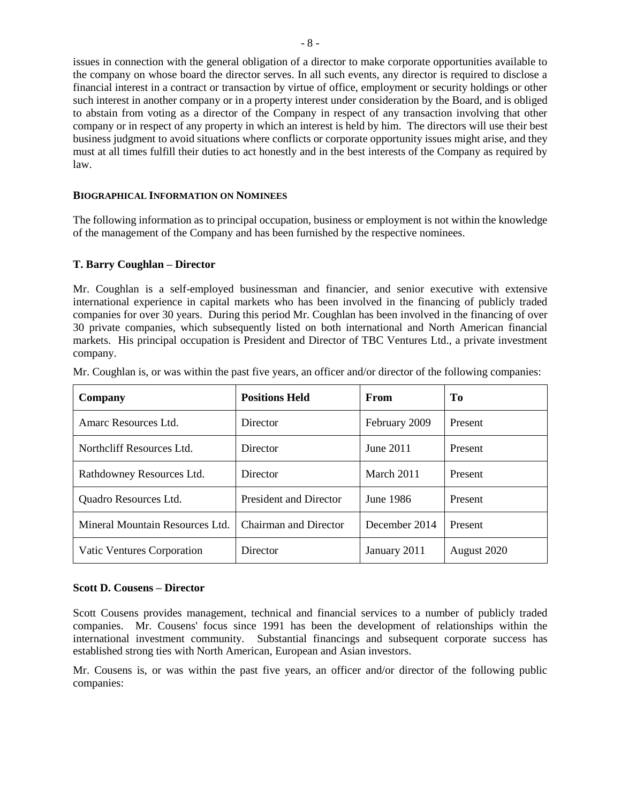issues in connection with the general obligation of a director to make corporate opportunities available to the company on whose board the director serves. In all such events, any director is required to disclose a financial interest in a contract or transaction by virtue of office, employment or security holdings or other such interest in another company or in a property interest under consideration by the Board, and is obliged to abstain from voting as a director of the Company in respect of any transaction involving that other company or in respect of any property in which an interest is held by him. The directors will use their best business judgment to avoid situations where conflicts or corporate opportunity issues might arise, and they must at all times fulfill their duties to act honestly and in the best interests of the Company as required by law.

### **BIOGRAPHICAL INFORMATION ON NOMINEES**

The following information as to principal occupation, business or employment is not within the knowledge of the management of the Company and has been furnished by the respective nominees.

### **T. Barry Coughlan – Director**

Mr. Coughlan is a self-employed businessman and financier, and senior executive with extensive international experience in capital markets who has been involved in the financing of publicly traded companies for over 30 years. During this period Mr. Coughlan has been involved in the financing of over 30 private companies, which subsequently listed on both international and North American financial markets. His principal occupation is President and Director of TBC Ventures Ltd., a private investment company.

| Company                         | <b>Positions Held</b>  | From          | T <sub>0</sub> |
|---------------------------------|------------------------|---------------|----------------|
| Amarc Resources Ltd.            | Director               | February 2009 | Present        |
| Northcliff Resources Ltd.       | Director               | June 2011     | Present        |
| Rathdowney Resources Ltd.       | Director               | March 2011    | Present        |
| Quadro Resources Ltd.           | President and Director | June 1986     | Present        |
| Mineral Mountain Resources Ltd. | Chairman and Director  | December 2014 | Present        |
| Vatic Ventures Corporation      | Director               | January 2011  | August 2020    |

Mr. Coughlan is, or was within the past five years, an officer and/or director of the following companies:

#### **Scott D. Cousens – Director**

Scott Cousens provides management, technical and financial services to a number of publicly traded companies. Mr. Cousens' focus since 1991 has been the development of relationships within the international investment community. Substantial financings and subsequent corporate success has established strong ties with North American, European and Asian investors.

Mr. Cousens is, or was within the past five years, an officer and/or director of the following public companies: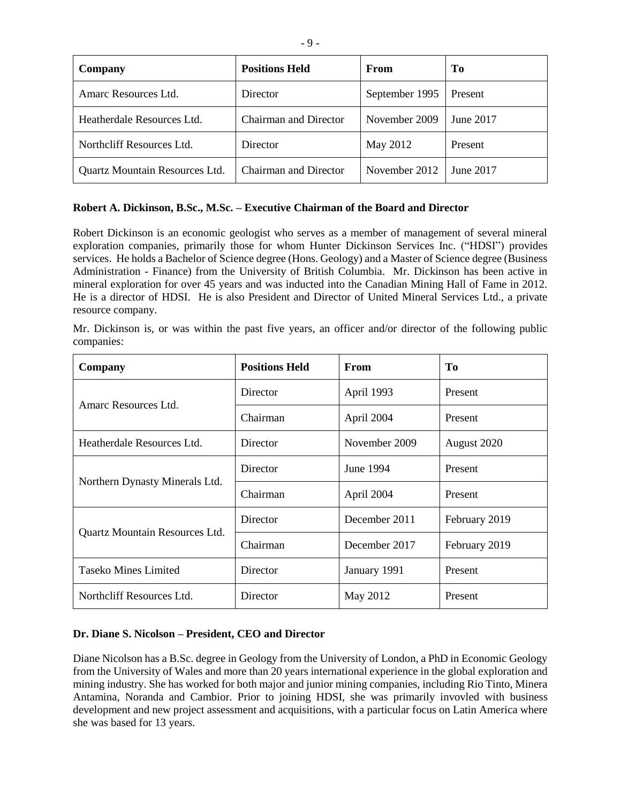| Company                        | <b>Positions Held</b>        | From           | T <sub>0</sub> |
|--------------------------------|------------------------------|----------------|----------------|
| Amarc Resources Ltd.           | Director                     | September 1995 | Present        |
| Heatherdale Resources Ltd.     | <b>Chairman and Director</b> | November 2009  | June 2017      |
| Northcliff Resources Ltd.      | Director                     | May 2012       | Present        |
| Quartz Mountain Resources Ltd. | Chairman and Director        | November 2012  | June 2017      |

### **Robert A. Dickinson, B.Sc., M.Sc. – Executive Chairman of the Board and Director**

Robert Dickinson is an economic geologist who serves as a member of management of several mineral exploration companies, primarily those for whom Hunter Dickinson Services Inc. ("HDSI") provides services. He holds a Bachelor of Science degree (Hons. Geology) and a Master of Science degree (Business Administration - Finance) from the University of British Columbia. Mr. Dickinson has been active in mineral exploration for over 45 years and was inducted into the Canadian Mining Hall of Fame in 2012. He is a director of HDSI. He is also President and Director of United Mineral Services Ltd., a private resource company.

Mr. Dickinson is, or was within the past five years, an officer and/or director of the following public companies:

| Company                        | <b>Positions Held</b>  | <b>From</b>   | To            |
|--------------------------------|------------------------|---------------|---------------|
| Amarc Resources Ltd.           | Director               | April 1993    | Present       |
|                                | Chairman<br>April 2004 |               | Present       |
| Heatherdale Resources Ltd.     | Director               | November 2009 | August 2020   |
|                                | Director<br>June 1994  |               | Present       |
| Northern Dynasty Minerals Ltd. | Chairman               | April 2004    | Present       |
|                                | Director               | December 2011 | February 2019 |
| Quartz Mountain Resources Ltd. | Chairman               | December 2017 | February 2019 |
| <b>Taseko Mines Limited</b>    | Director               | January 1991  | Present       |
| Northcliff Resources Ltd.      | Director               | May 2012      | Present       |

#### **Dr. Diane S. Nicolson – President, CEO and Director**

Diane Nicolson has a B.Sc. degree in Geology from the University of London, a PhD in Economic Geology from the University of Wales and more than 20 years international experience in the global exploration and mining industry. She has worked for both major and junior mining companies, including Rio Tinto, Minera Antamina, Noranda and Cambior. Prior to joining HDSI, she was primarily invovled with business development and new project assessment and acquisitions, with a particular focus on Latin America where she was based for 13 years.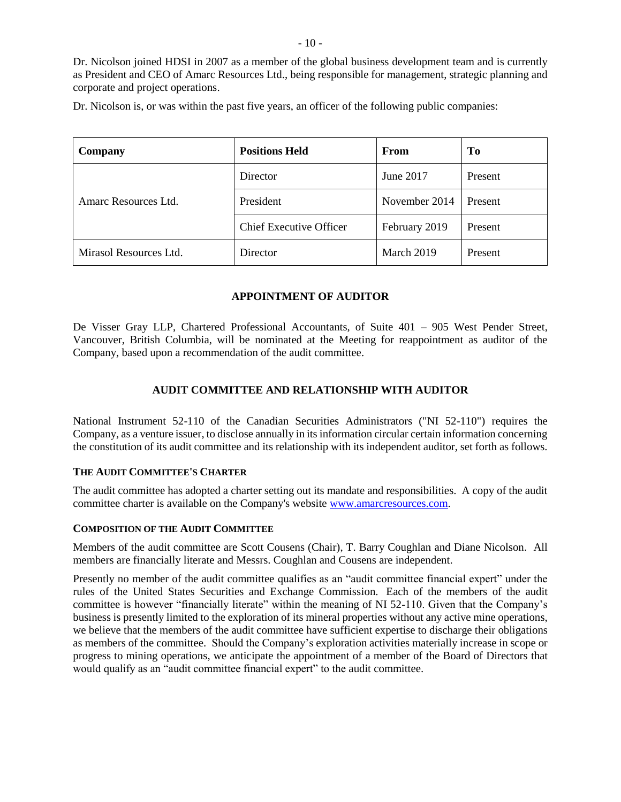Dr. Nicolson joined HDSI in 2007 as a member of the global business development team and is currently as President and CEO of Amarc Resources Ltd., being responsible for management, strategic planning and corporate and project operations.

Dr. Nicolson is, or was within the past five years, an officer of the following public companies:

| Company                | <b>Positions Held</b>          | <b>From</b>   | To      |
|------------------------|--------------------------------|---------------|---------|
|                        | Director                       | June 2017     | Present |
| Amarc Resources Ltd.   | President                      | November 2014 | Present |
|                        | <b>Chief Executive Officer</b> | February 2019 | Present |
| Mirasol Resources Ltd. | Director                       | March 2019    | Present |

### **APPOINTMENT OF AUDITOR**

De Visser Gray LLP, Chartered Professional Accountants, of Suite 401 – 905 West Pender Street, Vancouver, British Columbia, will be nominated at the Meeting for reappointment as auditor of the Company, based upon a recommendation of the audit committee.

### **AUDIT COMMITTEE AND RELATIONSHIP WITH AUDITOR**

National Instrument 52-110 of the Canadian Securities Administrators ("NI 52-110") requires the Company, as a venture issuer, to disclose annually in its information circular certain information concerning the constitution of its audit committee and its relationship with its independent auditor, set forth as follows.

#### **THE AUDIT COMMITTEE'S CHARTER**

The audit committee has adopted a charter setting out its mandate and responsibilities. A copy of the audit committee charter is available on the Company's website [www.amarcresources.com.](http://www.amarcresources.com/)

### **COMPOSITION OF THE AUDIT COMMITTEE**

Members of the audit committee are Scott Cousens (Chair), T. Barry Coughlan and Diane Nicolson. All members are financially literate and Messrs. Coughlan and Cousens are independent.

Presently no member of the audit committee qualifies as an "audit committee financial expert" under the rules of the United States Securities and Exchange Commission. Each of the members of the audit committee is however "financially literate" within the meaning of NI 52-110. Given that the Company's business is presently limited to the exploration of its mineral properties without any active mine operations, we believe that the members of the audit committee have sufficient expertise to discharge their obligations as members of the committee. Should the Company's exploration activities materially increase in scope or progress to mining operations, we anticipate the appointment of a member of the Board of Directors that would qualify as an "audit committee financial expert" to the audit committee.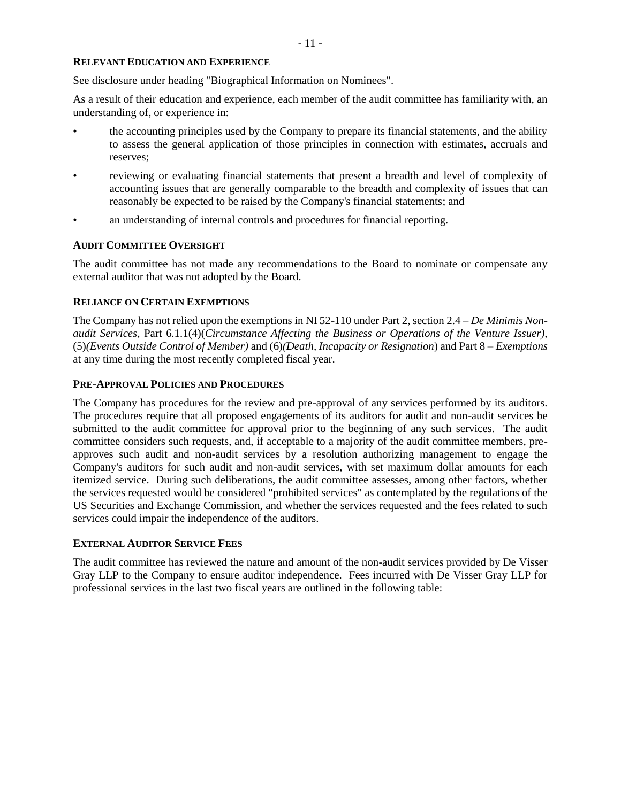### **RELEVANT EDUCATION AND EXPERIENCE**

See disclosure under heading "Biographical Information on Nominees".

As a result of their education and experience, each member of the audit committee has familiarity with, an understanding of, or experience in:

- the accounting principles used by the Company to prepare its financial statements, and the ability to assess the general application of those principles in connection with estimates, accruals and reserves;
- reviewing or evaluating financial statements that present a breadth and level of complexity of accounting issues that are generally comparable to the breadth and complexity of issues that can reasonably be expected to be raised by the Company's financial statements; and
- an understanding of internal controls and procedures for financial reporting.

### **AUDIT COMMITTEE OVERSIGHT**

The audit committee has not made any recommendations to the Board to nominate or compensate any external auditor that was not adopted by the Board.

### **RELIANCE ON CERTAIN EXEMPTIONS**

The Company has not relied upon the exemptions in NI 52-110 under Part 2, section 2.4 – *De Minimis Nonaudit Services*, Part 6.1.1(4)(*Circumstance Affecting the Business or Operations of the Venture Issuer),*  (5)*(Events Outside Control of Member)* and (6)*(Death, Incapacity or Resignation*) and Part 8 – *Exemptions* at any time during the most recently completed fiscal year.

### **PRE-APPROVAL POLICIES AND PROCEDURES**

The Company has procedures for the review and pre-approval of any services performed by its auditors. The procedures require that all proposed engagements of its auditors for audit and non-audit services be submitted to the audit committee for approval prior to the beginning of any such services. The audit committee considers such requests, and, if acceptable to a majority of the audit committee members, preapproves such audit and non-audit services by a resolution authorizing management to engage the Company's auditors for such audit and non-audit services, with set maximum dollar amounts for each itemized service. During such deliberations, the audit committee assesses, among other factors, whether the services requested would be considered "prohibited services" as contemplated by the regulations of the US Securities and Exchange Commission, and whether the services requested and the fees related to such services could impair the independence of the auditors.

### **EXTERNAL AUDITOR SERVICE FEES**

The audit committee has reviewed the nature and amount of the non-audit services provided by De Visser Gray LLP to the Company to ensure auditor independence. Fees incurred with De Visser Gray LLP for professional services in the last two fiscal years are outlined in the following table: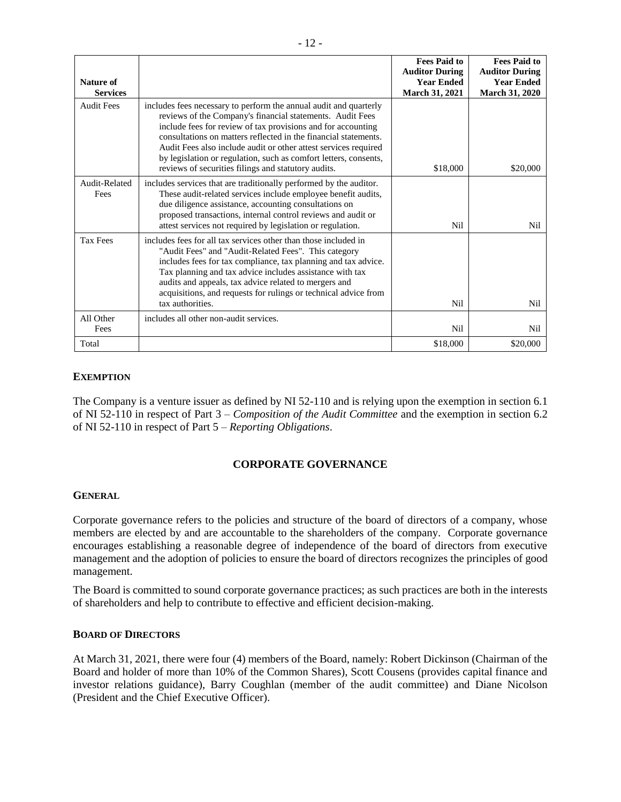| Nature of<br><b>Services</b> |                                                                                                                                                                                                                                                                                                                                                                                                                                                                 | <b>Fees Paid to</b><br><b>Auditor During</b><br><b>Year Ended</b><br><b>March 31, 2021</b> | <b>Fees Paid to</b><br><b>Auditor During</b><br><b>Year Ended</b><br><b>March 31, 2020</b> |
|------------------------------|-----------------------------------------------------------------------------------------------------------------------------------------------------------------------------------------------------------------------------------------------------------------------------------------------------------------------------------------------------------------------------------------------------------------------------------------------------------------|--------------------------------------------------------------------------------------------|--------------------------------------------------------------------------------------------|
| <b>Audit Fees</b>            | includes fees necessary to perform the annual audit and quarterly<br>reviews of the Company's financial statements. Audit Fees<br>include fees for review of tax provisions and for accounting<br>consultations on matters reflected in the financial statements.<br>Audit Fees also include audit or other attest services required<br>by legislation or regulation, such as comfort letters, consents,<br>reviews of securities filings and statutory audits. | \$18,000                                                                                   | \$20,000                                                                                   |
| Audit-Related<br>Fees        | includes services that are traditionally performed by the auditor.<br>These audit-related services include employee benefit audits,<br>due diligence assistance, accounting consultations on<br>proposed transactions, internal control reviews and audit or<br>attest services not required by legislation or regulation.                                                                                                                                      | Nil                                                                                        | Nil                                                                                        |
| <b>Tax Fees</b>              | includes fees for all tax services other than those included in<br>"Audit Fees" and "Audit-Related Fees". This category<br>includes fees for tax compliance, tax planning and tax advice.<br>Tax planning and tax advice includes assistance with tax<br>audits and appeals, tax advice related to mergers and<br>acquisitions, and requests for rulings or technical advice from<br>tax authorities.                                                           | Nil                                                                                        | Nil                                                                                        |
| All Other<br>Fees            | includes all other non-audit services.                                                                                                                                                                                                                                                                                                                                                                                                                          | Nil                                                                                        | Nil                                                                                        |
| Total                        |                                                                                                                                                                                                                                                                                                                                                                                                                                                                 | \$18,000                                                                                   | \$20,000                                                                                   |

# **EXEMPTION**

The Company is a venture issuer as defined by NI 52-110 and is relying upon the exemption in section 6.1 of NI 52-110 in respect of Part 3 – *Composition of the Audit Committee* and the exemption in section 6.2 of NI 52-110 in respect of Part 5 – *Reporting Obligations*.

### **CORPORATE GOVERNANCE**

### **GENERAL**

Corporate governance refers to the policies and structure of the board of directors of a company, whose members are elected by and are accountable to the shareholders of the company. Corporate governance encourages establishing a reasonable degree of independence of the board of directors from executive management and the adoption of policies to ensure the board of directors recognizes the principles of good management.

The Board is committed to sound corporate governance practices; as such practices are both in the interests of shareholders and help to contribute to effective and efficient decision-making.

### **BOARD OF DIRECTORS**

At March 31, 2021, there were four (4) members of the Board, namely: Robert Dickinson (Chairman of the Board and holder of more than 10% of the Common Shares), Scott Cousens (provides capital finance and investor relations guidance), Barry Coughlan (member of the audit committee) and Diane Nicolson (President and the Chief Executive Officer).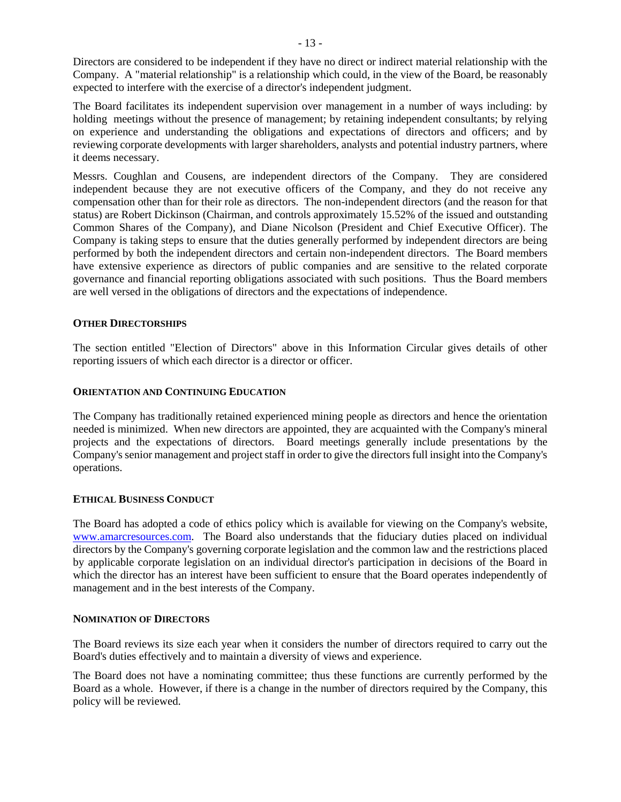Directors are considered to be independent if they have no direct or indirect material relationship with the Company. A "material relationship" is a relationship which could, in the view of the Board, be reasonably expected to interfere with the exercise of a director's independent judgment.

The Board facilitates its independent supervision over management in a number of ways including: by holding meetings without the presence of management; by retaining independent consultants; by relying on experience and understanding the obligations and expectations of directors and officers; and by reviewing corporate developments with larger shareholders, analysts and potential industry partners, where it deems necessary.

Messrs. Coughlan and Cousens, are independent directors of the Company. They are considered independent because they are not executive officers of the Company, and they do not receive any compensation other than for their role as directors. The non-independent directors (and the reason for that status) are Robert Dickinson (Chairman, and controls approximately 15.52% of the issued and outstanding Common Shares of the Company), and Diane Nicolson (President and Chief Executive Officer). The Company is taking steps to ensure that the duties generally performed by independent directors are being performed by both the independent directors and certain non-independent directors. The Board members have extensive experience as directors of public companies and are sensitive to the related corporate governance and financial reporting obligations associated with such positions. Thus the Board members are well versed in the obligations of directors and the expectations of independence.

### **OTHER DIRECTORSHIPS**

The section entitled "Election of Directors" above in this Information Circular gives details of other reporting issuers of which each director is a director or officer.

### **ORIENTATION AND CONTINUING EDUCATION**

The Company has traditionally retained experienced mining people as directors and hence the orientation needed is minimized. When new directors are appointed, they are acquainted with the Company's mineral projects and the expectations of directors. Board meetings generally include presentations by the Company's senior management and project staff in order to give the directors full insight into the Company's operations.

### **ETHICAL BUSINESS CONDUCT**

The Board has adopted a code of ethics policy which is available for viewing on the Company's website, [www.amarcresources.com.](http://www.amarcresources.com/) The Board also understands that the fiduciary duties placed on individual directors by the Company's governing corporate legislation and the common law and the restrictions placed by applicable corporate legislation on an individual director's participation in decisions of the Board in which the director has an interest have been sufficient to ensure that the Board operates independently of management and in the best interests of the Company.

### **NOMINATION OF DIRECTORS**

The Board reviews its size each year when it considers the number of directors required to carry out the Board's duties effectively and to maintain a diversity of views and experience.

The Board does not have a nominating committee; thus these functions are currently performed by the Board as a whole. However, if there is a change in the number of directors required by the Company, this policy will be reviewed.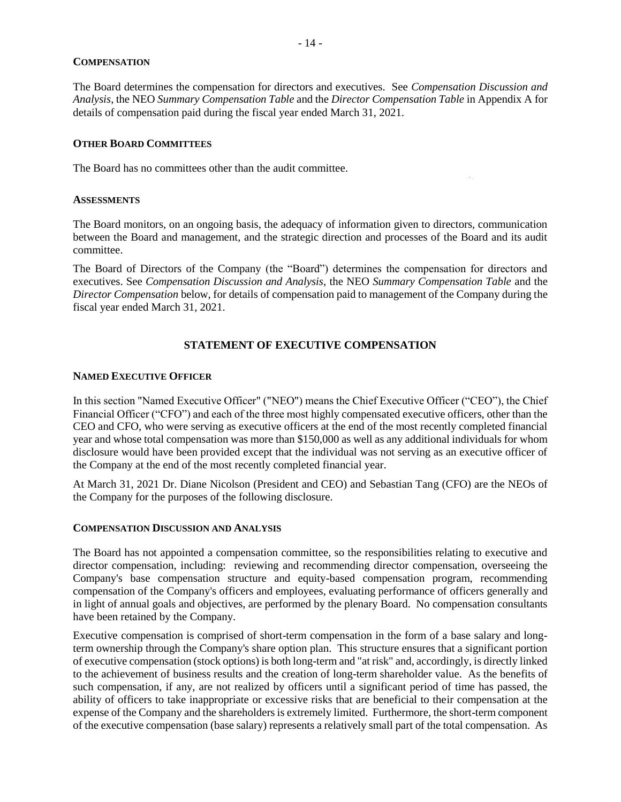### **COMPENSATION**

The Board determines the compensation for directors and executives. See *Compensation Discussion and Analysis*, the NEO *Summary Compensation Table* and the *Director Compensation Table* in Appendix A for details of compensation paid during the fiscal year ended March 31, 2021.

### **OTHER BOARD COMMITTEES**

The Board has no committees other than the audit committee.

#### **ASSESSMENTS**

The Board monitors, on an ongoing basis, the adequacy of information given to directors, communication between the Board and management, and the strategic direction and processes of the Board and its audit committee.

The Board of Directors of the Company (the "Board") determines the compensation for directors and executives. See *Compensation Discussion and Analysis*, the NEO *Summary Compensation Table* and the *Director Compensation* below, for details of compensation paid to management of the Company during the fiscal year ended March 31, 2021.

# **STATEMENT OF EXECUTIVE COMPENSATION**

### **NAMED EXECUTIVE OFFICER**

In this section "Named Executive Officer" ("NEO") means the Chief Executive Officer ("CEO"), the Chief Financial Officer ("CFO") and each of the three most highly compensated executive officers, other than the CEO and CFO, who were serving as executive officers at the end of the most recently completed financial year and whose total compensation was more than \$150,000 as well as any additional individuals for whom disclosure would have been provided except that the individual was not serving as an executive officer of the Company at the end of the most recently completed financial year.

At March 31, 2021 Dr. Diane Nicolson (President and CEO) and Sebastian Tang (CFO) are the NEOs of the Company for the purposes of the following disclosure.

#### **COMPENSATION DISCUSSION AND ANALYSIS**

The Board has not appointed a compensation committee, so the responsibilities relating to executive and director compensation, including: reviewing and recommending director compensation, overseeing the Company's base compensation structure and equity-based compensation program, recommending compensation of the Company's officers and employees, evaluating performance of officers generally and in light of annual goals and objectives, are performed by the plenary Board. No compensation consultants have been retained by the Company.

Executive compensation is comprised of short-term compensation in the form of a base salary and longterm ownership through the Company's share option plan. This structure ensures that a significant portion of executive compensation (stock options) is both long-term and "at risk" and, accordingly, is directly linked to the achievement of business results and the creation of long-term shareholder value. As the benefits of such compensation, if any, are not realized by officers until a significant period of time has passed, the ability of officers to take inappropriate or excessive risks that are beneficial to their compensation at the expense of the Company and the shareholders is extremely limited. Furthermore, the short-term component of the executive compensation (base salary) represents a relatively small part of the total compensation. As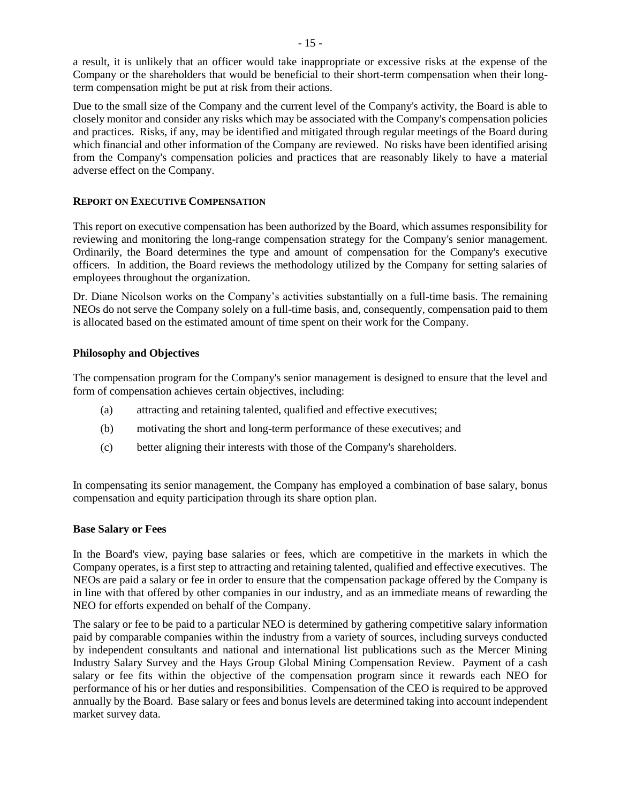a result, it is unlikely that an officer would take inappropriate or excessive risks at the expense of the Company or the shareholders that would be beneficial to their short-term compensation when their longterm compensation might be put at risk from their actions.

Due to the small size of the Company and the current level of the Company's activity, the Board is able to closely monitor and consider any risks which may be associated with the Company's compensation policies and practices. Risks, if any, may be identified and mitigated through regular meetings of the Board during which financial and other information of the Company are reviewed. No risks have been identified arising from the Company's compensation policies and practices that are reasonably likely to have a material adverse effect on the Company.

### **REPORT ON EXECUTIVE COMPENSATION**

This report on executive compensation has been authorized by the Board, which assumes responsibility for reviewing and monitoring the long-range compensation strategy for the Company's senior management. Ordinarily, the Board determines the type and amount of compensation for the Company's executive officers. In addition, the Board reviews the methodology utilized by the Company for setting salaries of employees throughout the organization.

Dr. Diane Nicolson works on the Company's activities substantially on a full-time basis. The remaining NEOs do not serve the Company solely on a full-time basis, and, consequently, compensation paid to them is allocated based on the estimated amount of time spent on their work for the Company.

### **Philosophy and Objectives**

The compensation program for the Company's senior management is designed to ensure that the level and form of compensation achieves certain objectives, including:

- (a) attracting and retaining talented, qualified and effective executives;
- (b) motivating the short and long-term performance of these executives; and
- (c) better aligning their interests with those of the Company's shareholders.

In compensating its senior management, the Company has employed a combination of base salary, bonus compensation and equity participation through its share option plan.

#### **Base Salary or Fees**

In the Board's view, paying base salaries or fees, which are competitive in the markets in which the Company operates, is a first step to attracting and retaining talented, qualified and effective executives. The NEOs are paid a salary or fee in order to ensure that the compensation package offered by the Company is in line with that offered by other companies in our industry, and as an immediate means of rewarding the NEO for efforts expended on behalf of the Company.

The salary or fee to be paid to a particular NEO is determined by gathering competitive salary information paid by comparable companies within the industry from a variety of sources, including surveys conducted by independent consultants and national and international list publications such as the Mercer Mining Industry Salary Survey and the Hays Group Global Mining Compensation Review. Payment of a cash salary or fee fits within the objective of the compensation program since it rewards each NEO for performance of his or her duties and responsibilities. Compensation of the CEO is required to be approved annually by the Board. Base salary or fees and bonus levels are determined taking into account independent market survey data.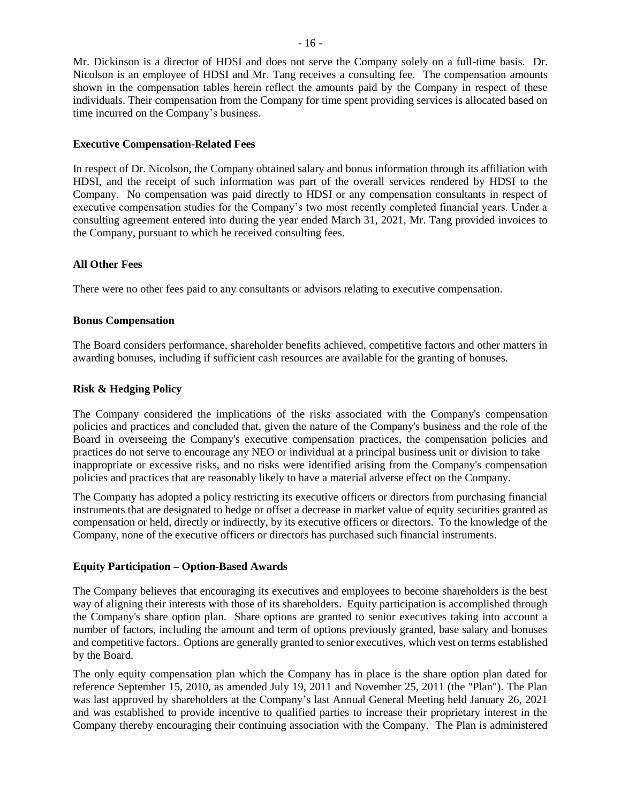Mr. Dickinson is a director of HDSI and does not serve the Company solely on a full-time basis. Dr. Nicolson is an employee of HDSI and Mr. Tang receives a consulting fee. The compensation amounts shown in the compensation tables herein reflect the amounts paid by the Company in respect of these individuals. Their compensation from the Company for time spent providing services is allocated based on time incurred on the Company's business.

### **Executive Compensation-Related Fees**

In respect of Dr. Nicolson, the Company obtained salary and bonus information through its affiliation with HDSI, and the receipt of such information was part of the overall services rendered by HDSI to the Company. No compensation was paid directly to HDSI or any compensation consultants in respect of executive compensation studies for the Company's two most recently completed financial years. Under a consulting agreement entered into during the year ended March 31, 2021, Mr. Tang provided invoices to the Company, pursuant to which he received consulting fees.

### **All Other Fees**

There were no other fees paid to any consultants or advisors relating to executive compensation.

### **Bonus Compensation**

The Board considers performance, shareholder benefits achieved, competitive factors and other matters in awarding bonuses, including if sufficient cash resources are available for the granting of bonuses.

### **Risk & Hedging Policy**

The Company considered the implications of the risks associated with the Company's compensation policies and practices and concluded that, given the nature of the Company's business and the role of the Board in overseeing the Company's executive compensation practices, the compensation policies and practices do not serve to encourage any NEO or individual at a principal business unit or division to take inappropriate or excessive risks, and no risks were identified arising from the Company's compensation policies and practices that are reasonably likely to have a material adverse effect on the Company.

The Company has adopted a policy restricting its executive officers or directors from purchasing financial instruments that are designated to hedge or offset a decrease in market value of equity securities granted as compensation or held, directly or indirectly, by its executive officers or directors. To the knowledge of the Company, none of the executive officers or directors has purchased such financial instruments.

#### **Equity Participation – Option-Based Awards**

The Company believes that encouraging its executives and employees to become shareholders is the best way of aligning their interests with those of its shareholders. Equity participation is accomplished through the Company's share option plan. Share options are granted to senior executives taking into account a number of factors, including the amount and term of options previously granted, base salary and bonuses and competitive factors. Options are generally granted to senior executives, which vest on terms established by the Board.

The only equity compensation plan which the Company has in place is the share option plan dated for reference September 15, 2010, as amended July 19, 2011 and November 25, 2011 (the "Plan"). The Plan was last approved by shareholders at the Company's last Annual General Meeting held January 26, 2021 and was established to provide incentive to qualified parties to increase their proprietary interest in the Company thereby encouraging their continuing association with the Company. The Plan is administered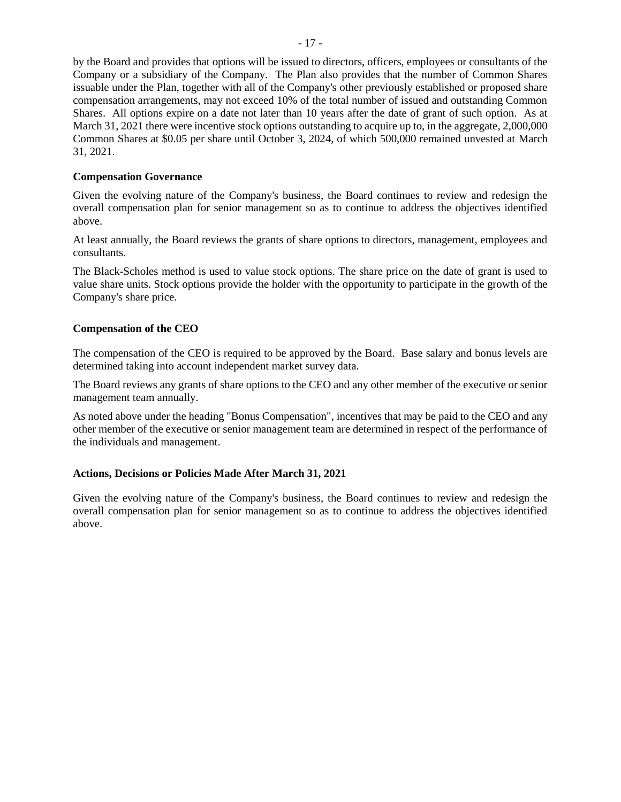by the Board and provides that options will be issued to directors, officers, employees or consultants of the Company or a subsidiary of the Company. The Plan also provides that the number of Common Shares issuable under the Plan, together with all of the Company's other previously established or proposed share compensation arrangements, may not exceed 10% of the total number of issued and outstanding Common Shares. All options expire on a date not later than 10 years after the date of grant of such option. As at March 31, 2021 there were incentive stock options outstanding to acquire up to, in the aggregate, 2,000,000 Common Shares at \$0.05 per share until October 3, 2024, of which 500,000 remained unvested at March 31, 2021.

### **Compensation Governance**

Given the evolving nature of the Company's business, the Board continues to review and redesign the overall compensation plan for senior management so as to continue to address the objectives identified above.

At least annually, the Board reviews the grants of share options to directors, management, employees and consultants.

The Black-Scholes method is used to value stock options. The share price on the date of grant is used to value share units. Stock options provide the holder with the opportunity to participate in the growth of the Company's share price.

### **Compensation of the CEO**

The compensation of the CEO is required to be approved by the Board. Base salary and bonus levels are determined taking into account independent market survey data.

The Board reviews any grants of share options to the CEO and any other member of the executive or senior management team annually.

As noted above under the heading "Bonus Compensation", incentives that may be paid to the CEO and any other member of the executive or senior management team are determined in respect of the performance of the individuals and management.

### **Actions, Decisions or Policies Made After March 31, 2021**

Given the evolving nature of the Company's business, the Board continues to review and redesign the overall compensation plan for senior management so as to continue to address the objectives identified above.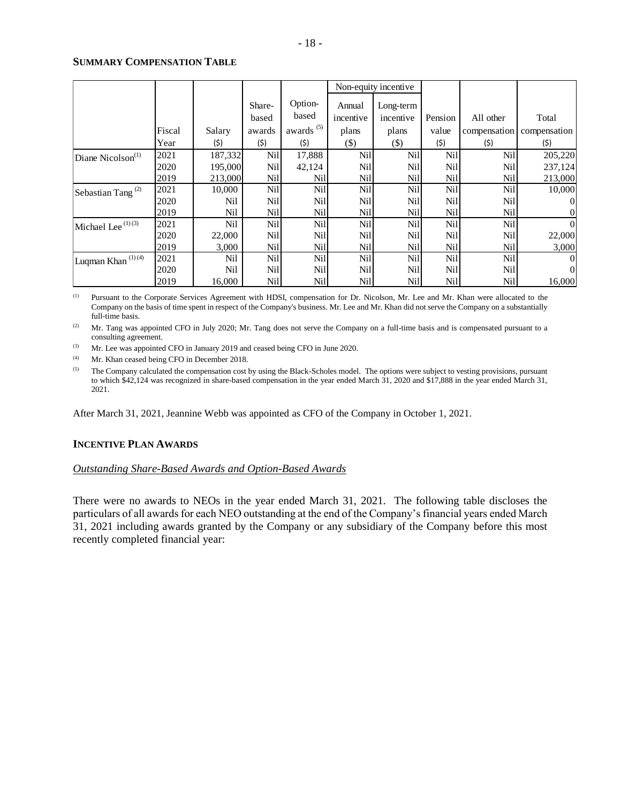#### **SUMMARY COMPENSATION TABLE**

|                               |        |         |        |                       | Non-equity incentive |            |         |              |              |
|-------------------------------|--------|---------|--------|-----------------------|----------------------|------------|---------|--------------|--------------|
|                               |        |         | Share- | Option-               | Annual               | Long-term  |         |              |              |
|                               |        |         | based  | based                 | incentive            | incentive  | Pension | All other    | Total        |
|                               | Fiscal | Salary  | awards | awards <sup>(5)</sup> | plans                | plans      | value   | compensation | compensation |
|                               | Year   | (\$)    | (\$)   | (\$)                  | $($ \$)              | $($ \$)    | (\$)    | (\$)         | (\$)         |
| Diane Nicolson <sup>(1)</sup> | 2021   | 187,332 | Ni1    | 17,888                | Nil                  | Nil        | Nil     | Nil          | 205,220      |
|                               | 2020   | 195,000 | Nil    | 42,124                | Nil                  | Nil        | Nil     | Nil          | 237,124      |
|                               | 2019   | 213,000 | Ni1    | Nil                   | Nil                  | Nil        | Nil     | Nil          | 213,000      |
| Sebastian Tang <sup>(2)</sup> | 2021   | 10,000  | Nil    | <b>Nil</b>            | Nil                  | Nil        | Nil     | Nil          | 10,000       |
|                               | 2020   | Nil     | Ni1    | <b>Nil</b>            | Nil                  | Nil        | Nil     | Nil          |              |
|                               | 2019   | Nil     | Nil    | Nill                  | <b>Nil</b>           | Nil        | Nil     | Nil          |              |
| Michael Lee <sup>(1)(3)</sup> | 2021   | Nil     | Nil    | <b>Nil</b>            | Nil                  | Nil        | Nil     | Nil          | $\Omega$     |
|                               | 2020   | 22,000  | Nil    | <b>Nil</b>            | <b>Nil</b>           | Nil        | Nil     | Nil          | 22,000       |
|                               | 2019   | 3,000   | Nil    | Nil                   | Nil                  | Nil        | Nil     | <b>Nil</b>   | 3,000        |
| Luqman Khan <sup>(1)(4)</sup> | 2021   | Nil     | Ni1    | Nil                   | <b>Nil</b>           | <b>Nil</b> | Nil     | Nil          | 0            |
|                               | 2020   | Nil     | Nil    | Nill                  | <b>Nil</b>           | Nil        | Nil     | <b>Nil</b>   | $\Omega$     |
|                               | 2019   | 16,000  | Nil    | Nil                   | Nil                  | Nil        | Nil     | <b>Nil</b>   | 16,000       |

(1) Pursuant to the Corporate Services Agreement with HDSI, compensation for Dr. Nicolson, Mr. Lee and Mr. Khan were allocated to the Company on the basis of time spent in respect of the Company's business. Mr. Lee and Mr. Khan did not serve the Company on a substantially full-time basis.

<sup>(2)</sup> Mr. Tang was appointed CFO in July 2020; Mr. Tang does not serve the Company on a full-time basis and is compensated pursuant to a consulting agreement.

(3) Mr. Lee was appointed CFO in January 2019 and ceased being CFO in June 2020.

(4) Mr. Khan ceased being CFO in December 2018.

<sup>(5)</sup> The Company calculated the compensation cost by using the Black-Scholes model. The options were subject to vesting provisions, pursuant to which \$42,124 was recognized in share-based compensation in the year ended March 31, 2020 and \$17,888 in the year ended March 31, 2021.

After March 31, 2021, Jeannine Webb was appointed as CFO of the Company in October 1, 2021.

### **INCENTIVE PLAN AWARDS**

### *Outstanding Share-Based Awards and Option-Based Awards*

There were no awards to NEOs in the year ended March 31, 2021. The following table discloses the particulars of all awards for each NEO outstanding at the end of the Company's financial years ended March 31, 2021 including awards granted by the Company or any subsidiary of the Company before this most recently completed financial year: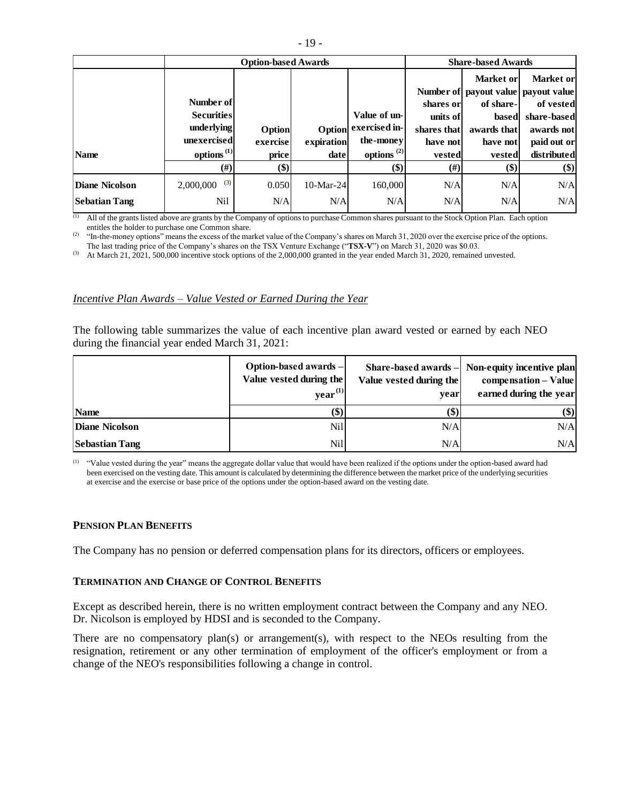|                       |                        | <b>Option-based Awards</b> |            |                  | <b>Share-based Awards</b> |             |                                     |  |
|-----------------------|------------------------|----------------------------|------------|------------------|---------------------------|-------------|-------------------------------------|--|
|                       |                        |                            |            |                  |                           | Market or   | Market or                           |  |
|                       |                        |                            |            |                  |                           |             | Number of payout value payout value |  |
|                       | Number of              |                            |            |                  | shares or                 | of share-   | of vested                           |  |
|                       | <b>Securities</b>      |                            |            | Value of un-     | units of                  | based       | share-based                         |  |
|                       | underlying             | Option                     | Option     | exercised in-    | shares that               | awards that | awards not                          |  |
|                       | unexercised            | exercise                   | expiration | the-money        | have not                  | have not    | paid out or                         |  |
| <b>Name</b>           | options <sup>(1)</sup> | price                      | date       | options $^{(2)}$ | vested                    | vested      | distributed                         |  |
|                       | $(\#)$                 | \$)                        |            | \$)              | $(\#)$                    | \$)         | \$)                                 |  |
| <b>Diane Nicolson</b> | (3)<br>2,000,000       | 0.050                      | 10-Mar-24  | 160,000          | N/A                       | N/A         | N/A                                 |  |
| <b>Sebatian Tang</b>  | <b>Nil</b>             | N/A                        | N/A        | N/A              | N/A                       | N/A         | N/A                                 |  |

(1) All of the grants listed above are grants by the Company of options to purchase Common shares pursuant to the Stock Option Plan. Each option entitles the holder to purchase one Common share.

<sup>(2)</sup> "In-the-money options" means the excess of the market value of the Company's shares on March 31, 2020 over the exercise price of the options. The last trading price of the Company's shares on the TSX Venture Exchange ("**TSX-V**") on March 31, 2020 was \$0.03.

(3) At March 21,  $2021$ , 500,000 incentive stock options of the 2,000,000 granted in the year ended March 31, 2020, remained unvested.

#### *Incentive Plan Awards – Value Vested or Earned During the Year*

The following table summarizes the value of each incentive plan award vested or earned by each NEO during the financial year ended March 31, 2021:

|                       | Option-based awards-<br>Value vested during the<br>$\mathbf{year}^{(1)}$ | Value vested during the<br>vear | Share-based awards - Non-equity incentive plan<br>compensation - Value<br>earned during the year |
|-----------------------|--------------------------------------------------------------------------|---------------------------------|--------------------------------------------------------------------------------------------------|
| Name                  |                                                                          | (\$)                            | (\$)                                                                                             |
| <b>Diane Nicolson</b> | Nill                                                                     | N/A                             | N/A                                                                                              |
| <b>Sebastian Tang</b> | Nill                                                                     | N/A                             | N/A                                                                                              |

<sup>(1)</sup> "Value vested during the year" means the aggregate dollar value that would have been realized if the options under the option-based award had been exercised on the vesting date. This amount is calculated by determining the difference between the market price of the underlying securities at exercise and the exercise or base price of the options under the option-based award on the vesting date.

#### **PENSION PLAN BENEFITS**

The Company has no pension or deferred compensation plans for its directors, officers or employees.

#### **TERMINATION AND CHANGE OF CONTROL BENEFITS**

Except as described herein, there is no written employment contract between the Company and any NEO. Dr. Nicolson is employed by HDSI and is seconded to the Company.

There are no compensatory plan(s) or arrangement(s), with respect to the NEOs resulting from the resignation, retirement or any other termination of employment of the officer's employment or from a change of the NEO's responsibilities following a change in control.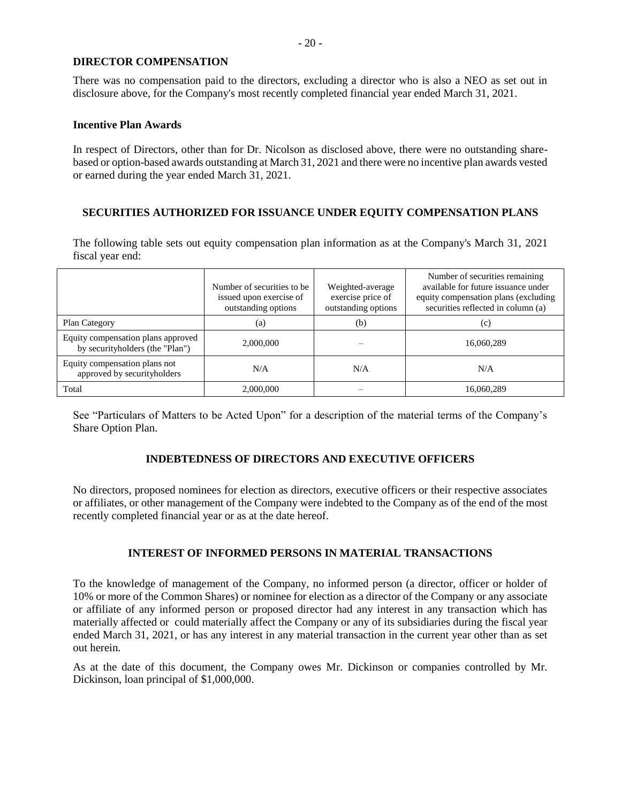### **DIRECTOR COMPENSATION**

There was no compensation paid to the directors, excluding a director who is also a NEO as set out in disclosure above, for the Company's most recently completed financial year ended March 31, 2021.

#### **Incentive Plan Awards**

In respect of Directors, other than for Dr. Nicolson as disclosed above, there were no outstanding sharebased or option-based awards outstanding at March 31, 2021 and there were no incentive plan awards vested or earned during the year ended March 31, 2021.

### **SECURITIES AUTHORIZED FOR ISSUANCE UNDER EQUITY COMPENSATION PLANS**

The following table sets out equity compensation plan information as at the Company's March 31, 2021 fiscal year end:

|                                                                       | Number of securities to be<br>issued upon exercise of<br>outstanding options | Weighted-average<br>exercise price of<br>outstanding options | Number of securities remaining<br>available for future issuance under<br>equity compensation plans (excluding<br>securities reflected in column (a) |
|-----------------------------------------------------------------------|------------------------------------------------------------------------------|--------------------------------------------------------------|-----------------------------------------------------------------------------------------------------------------------------------------------------|
| Plan Category                                                         | (a)                                                                          | (b)                                                          | (c)                                                                                                                                                 |
| Equity compensation plans approved<br>by securityholders (the "Plan") | 2,000,000                                                                    |                                                              | 16,060,289                                                                                                                                          |
| Equity compensation plans not<br>approved by securityholders          | N/A                                                                          | N/A                                                          | N/A                                                                                                                                                 |
| Total                                                                 | 2,000,000                                                                    |                                                              | 16,060,289                                                                                                                                          |

See "Particulars of Matters to be Acted Upon" for a description of the material terms of the Company's Share Option Plan.

# **INDEBTEDNESS OF DIRECTORS AND EXECUTIVE OFFICERS**

No directors, proposed nominees for election as directors, executive officers or their respective associates or affiliates, or other management of the Company were indebted to the Company as of the end of the most recently completed financial year or as at the date hereof.

### **INTEREST OF INFORMED PERSONS IN MATERIAL TRANSACTIONS**

To the knowledge of management of the Company, no informed person (a director, officer or holder of 10% or more of the Common Shares) or nominee for election as a director of the Company or any associate or affiliate of any informed person or proposed director had any interest in any transaction which has materially affected or could materially affect the Company or any of its subsidiaries during the fiscal year ended March 31, 2021, or has any interest in any material transaction in the current year other than as set out herein.

As at the date of this document, the Company owes Mr. Dickinson or companies controlled by Mr. Dickinson, loan principal of \$1,000,000.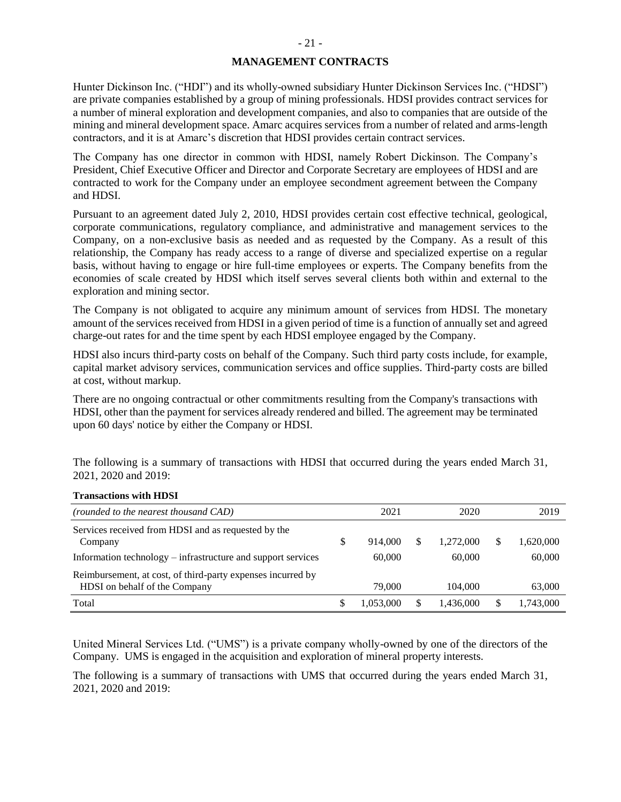# **MANAGEMENT CONTRACTS**

Hunter Dickinson Inc. ("HDI") and its wholly-owned subsidiary Hunter Dickinson Services Inc. ("HDSI") are private companies established by a group of mining professionals. HDSI provides contract services for a number of mineral exploration and development companies, and also to companies that are outside of the mining and mineral development space. Amarc acquires services from a number of related and arms-length contractors, and it is at Amarc's discretion that HDSI provides certain contract services.

The Company has one director in common with HDSI, namely Robert Dickinson. The Company's President, Chief Executive Officer and Director and Corporate Secretary are employees of HDSI and are contracted to work for the Company under an employee secondment agreement between the Company and HDSI.

Pursuant to an agreement dated July 2, 2010, HDSI provides certain cost effective technical, geological, corporate communications, regulatory compliance, and administrative and management services to the Company, on a non-exclusive basis as needed and as requested by the Company. As a result of this relationship, the Company has ready access to a range of diverse and specialized expertise on a regular basis, without having to engage or hire full-time employees or experts. The Company benefits from the economies of scale created by HDSI which itself serves several clients both within and external to the exploration and mining sector.

The Company is not obligated to acquire any minimum amount of services from HDSI. The monetary amount of the services received from HDSI in a given period of time is a function of annually set and agreed charge-out rates for and the time spent by each HDSI employee engaged by the Company.

HDSI also incurs third-party costs on behalf of the Company. Such third party costs include, for example, capital market advisory services, communication services and office supplies. Third-party costs are billed at cost, without markup.

There are no ongoing contractual or other commitments resulting from the Company's transactions with HDSI, other than the payment for services already rendered and billed. The agreement may be terminated upon 60 days' notice by either the Company or HDSI.

The following is a summary of transactions with HDSI that occurred during the years ended March 31, 2021, 2020 and 2019:

| (rounded to the nearest thousand CAD)                                                        | 2021      |   | 2020      |   | 2019      |
|----------------------------------------------------------------------------------------------|-----------|---|-----------|---|-----------|
| Services received from HDSI and as requested by the<br>Company                               | 914.000   | S | 1,272,000 | S | 1,620,000 |
| Information technology – infrastructure and support services                                 | 60,000    |   | 60,000    |   | 60,000    |
| Reimbursement, at cost, of third-party expenses incurred by<br>HDSI on behalf of the Company | 79,000    |   | 104,000   |   | 63,000    |
| Total                                                                                        | 1.053.000 | S | 1,436,000 |   | 1,743,000 |

#### **Transactions with HDSI**

United Mineral Services Ltd. ("UMS") is a private company wholly-owned by one of the directors of the Company. UMS is engaged in the acquisition and exploration of mineral property interests.

The following is a summary of transactions with UMS that occurred during the years ended March 31, 2021, 2020 and 2019: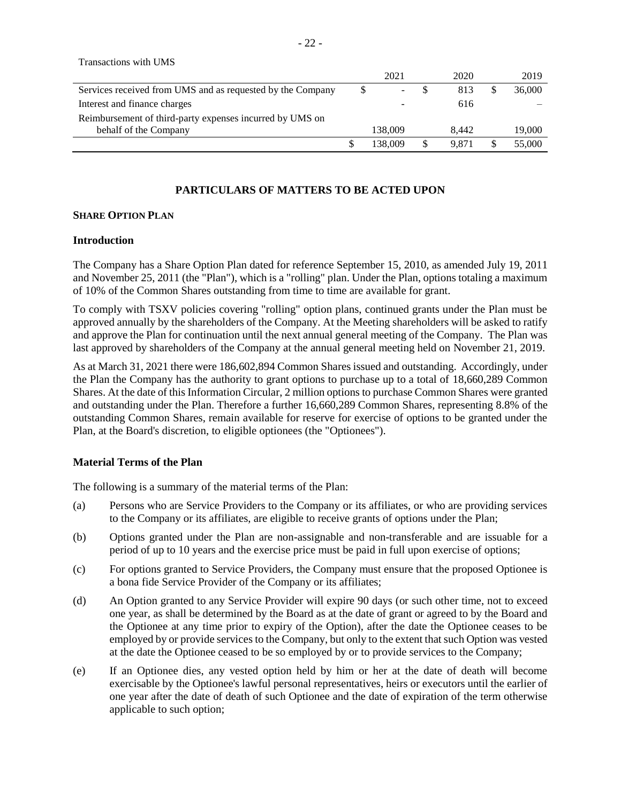| Transactions with UMS                                      |         |       |   |        |
|------------------------------------------------------------|---------|-------|---|--------|
|                                                            | 2021    | 2020  |   | 2019   |
| Services received from UMS and as requested by the Company | -       | 813   | S | 36,000 |
| Interest and finance charges                               |         | 616   |   |        |
| Reimbursement of third-party expenses incurred by UMS on   |         |       |   |        |
| behalf of the Company                                      | 138,009 | 8.442 |   | 19,000 |
|                                                            | 138,009 | 9.871 |   | 55,000 |

## **PARTICULARS OF MATTERS TO BE ACTED UPON**

### **SHARE OPTION PLAN**

### **Introduction**

The Company has a Share Option Plan dated for reference September 15, 2010, as amended July 19, 2011 and November 25, 2011 (the "Plan"), which is a "rolling" plan. Under the Plan, options totaling a maximum of 10% of the Common Shares outstanding from time to time are available for grant.

To comply with TSXV policies covering "rolling" option plans, continued grants under the Plan must be approved annually by the shareholders of the Company. At the Meeting shareholders will be asked to ratify and approve the Plan for continuation until the next annual general meeting of the Company. The Plan was last approved by shareholders of the Company at the annual general meeting held on November 21, 2019.

As at March 31, 2021 there were 186,602,894 Common Shares issued and outstanding. Accordingly, under the Plan the Company has the authority to grant options to purchase up to a total of 18,660,289 Common Shares. At the date of this Information Circular, 2 million options to purchase Common Shares were granted and outstanding under the Plan. Therefore a further 16,660,289 Common Shares, representing 8.8% of the outstanding Common Shares, remain available for reserve for exercise of options to be granted under the Plan, at the Board's discretion, to eligible optionees (the "Optionees").

### **Material Terms of the Plan**

The following is a summary of the material terms of the Plan:

- (a) Persons who are Service Providers to the Company or its affiliates, or who are providing services to the Company or its affiliates, are eligible to receive grants of options under the Plan;
- (b) Options granted under the Plan are non-assignable and non-transferable and are issuable for a period of up to 10 years and the exercise price must be paid in full upon exercise of options;
- (c) For options granted to Service Providers, the Company must ensure that the proposed Optionee is a bona fide Service Provider of the Company or its affiliates;
- (d) An Option granted to any Service Provider will expire 90 days (or such other time, not to exceed one year, as shall be determined by the Board as at the date of grant or agreed to by the Board and the Optionee at any time prior to expiry of the Option), after the date the Optionee ceases to be employed by or provide services to the Company, but only to the extent that such Option was vested at the date the Optionee ceased to be so employed by or to provide services to the Company;
- (e) If an Optionee dies, any vested option held by him or her at the date of death will become exercisable by the Optionee's lawful personal representatives, heirs or executors until the earlier of one year after the date of death of such Optionee and the date of expiration of the term otherwise applicable to such option;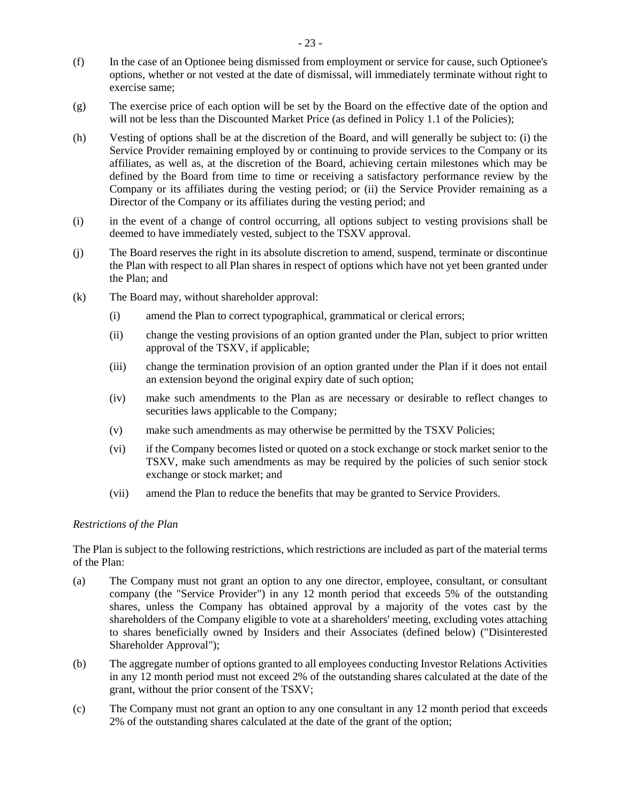- (f) In the case of an Optionee being dismissed from employment or service for cause, such Optionee's options, whether or not vested at the date of dismissal, will immediately terminate without right to exercise same;
- (g) The exercise price of each option will be set by the Board on the effective date of the option and will not be less than the Discounted Market Price (as defined in Policy 1.1 of the Policies);
- (h) Vesting of options shall be at the discretion of the Board, and will generally be subject to: (i) the Service Provider remaining employed by or continuing to provide services to the Company or its affiliates, as well as, at the discretion of the Board, achieving certain milestones which may be defined by the Board from time to time or receiving a satisfactory performance review by the Company or its affiliates during the vesting period; or (ii) the Service Provider remaining as a Director of the Company or its affiliates during the vesting period; and
- (i) in the event of a change of control occurring, all options subject to vesting provisions shall be deemed to have immediately vested, subject to the TSXV approval.
- (j) The Board reserves the right in its absolute discretion to amend, suspend, terminate or discontinue the Plan with respect to all Plan shares in respect of options which have not yet been granted under the Plan; and
- (k) The Board may, without shareholder approval:
	- (i) amend the Plan to correct typographical, grammatical or clerical errors;
	- (ii) change the vesting provisions of an option granted under the Plan, subject to prior written approval of the TSXV, if applicable;
	- (iii) change the termination provision of an option granted under the Plan if it does not entail an extension beyond the original expiry date of such option;
	- (iv) make such amendments to the Plan as are necessary or desirable to reflect changes to securities laws applicable to the Company;
	- (v) make such amendments as may otherwise be permitted by the TSXV Policies;
	- (vi) if the Company becomes listed or quoted on a stock exchange or stock market senior to the TSXV, make such amendments as may be required by the policies of such senior stock exchange or stock market; and
	- (vii) amend the Plan to reduce the benefits that may be granted to Service Providers.

#### *Restrictions of the Plan*

The Plan is subject to the following restrictions, which restrictions are included as part of the material terms of the Plan:

- (a) The Company must not grant an option to any one director, employee, consultant, or consultant company (the "Service Provider") in any 12 month period that exceeds 5% of the outstanding shares, unless the Company has obtained approval by a majority of the votes cast by the shareholders of the Company eligible to vote at a shareholders' meeting, excluding votes attaching to shares beneficially owned by Insiders and their Associates (defined below) ("Disinterested Shareholder Approval");
- (b) The aggregate number of options granted to all employees conducting Investor Relations Activities in any 12 month period must not exceed 2% of the outstanding shares calculated at the date of the grant, without the prior consent of the TSXV;
- (c) The Company must not grant an option to any one consultant in any 12 month period that exceeds 2% of the outstanding shares calculated at the date of the grant of the option;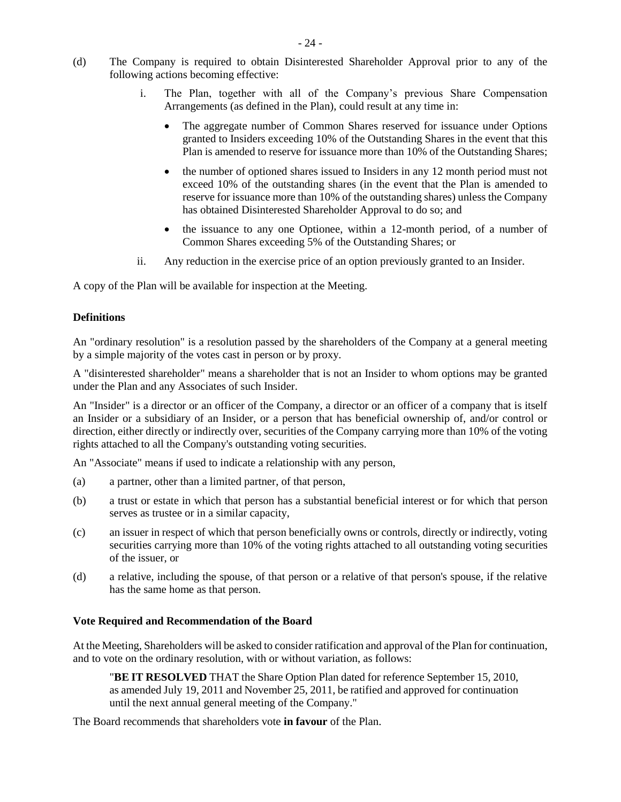- (d) The Company is required to obtain Disinterested Shareholder Approval prior to any of the following actions becoming effective:
	- i. The Plan, together with all of the Company's previous Share Compensation Arrangements (as defined in the Plan), could result at any time in:
		- The aggregate number of Common Shares reserved for issuance under Options granted to Insiders exceeding 10% of the Outstanding Shares in the event that this Plan is amended to reserve for issuance more than 10% of the Outstanding Shares;
		- the number of optioned shares issued to Insiders in any 12 month period must not exceed 10% of the outstanding shares (in the event that the Plan is amended to reserve for issuance more than 10% of the outstanding shares) unless the Company has obtained Disinterested Shareholder Approval to do so; and
		- the issuance to any one Optionee, within a 12-month period, of a number of Common Shares exceeding 5% of the Outstanding Shares; or
	- ii. Any reduction in the exercise price of an option previously granted to an Insider.

A copy of the Plan will be available for inspection at the Meeting.

#### **Definitions**

An "ordinary resolution" is a resolution passed by the shareholders of the Company at a general meeting by a simple majority of the votes cast in person or by proxy.

A "disinterested shareholder" means a shareholder that is not an Insider to whom options may be granted under the Plan and any Associates of such Insider.

An "Insider" is a director or an officer of the Company, a director or an officer of a company that is itself an Insider or a subsidiary of an Insider, or a person that has beneficial ownership of, and/or control or direction, either directly or indirectly over, securities of the Company carrying more than 10% of the voting rights attached to all the Company's outstanding voting securities.

An "Associate" means if used to indicate a relationship with any person,

- (a) a partner, other than a limited partner, of that person,
- (b) a trust or estate in which that person has a substantial beneficial interest or for which that person serves as trustee or in a similar capacity,
- (c) an issuer in respect of which that person beneficially owns or controls, directly or indirectly, voting securities carrying more than 10% of the voting rights attached to all outstanding voting securities of the issuer, or
- (d) a relative, including the spouse, of that person or a relative of that person's spouse, if the relative has the same home as that person.

#### **Vote Required and Recommendation of the Board**

At the Meeting, Shareholders will be asked to consider ratification and approval of the Plan for continuation, and to vote on the ordinary resolution, with or without variation, as follows:

"**BE IT RESOLVED** THAT the Share Option Plan dated for reference September 15, 2010, as amended July 19, 2011 and November 25, 2011, be ratified and approved for continuation until the next annual general meeting of the Company."

The Board recommends that shareholders vote **in favour** of the Plan.